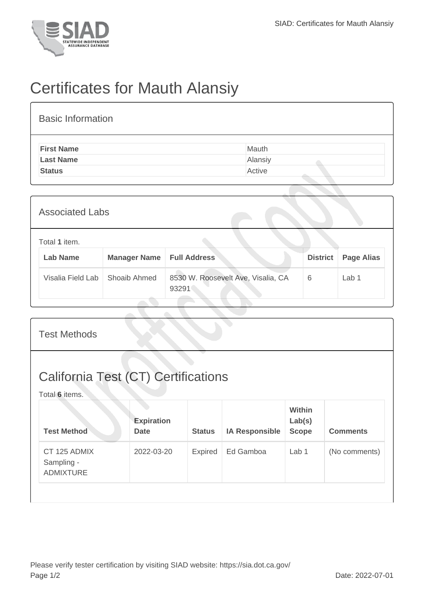

## Certificates for Mauth Alansiy

| <b>Basic Information</b> |         |
|--------------------------|---------|
| <b>First Name</b>        | Mauth   |
| <b>Last Name</b>         | Alansiy |
| <b>Status</b>            | Active  |

| <b>Associated Labs</b>           |                     |                                             |                 |                   |  |  |
|----------------------------------|---------------------|---------------------------------------------|-----------------|-------------------|--|--|
| Total 1 item.<br><b>Lab Name</b> | <b>Manager Name</b> | <b>Full Address</b>                         | <b>District</b> | <b>Page Alias</b> |  |  |
| Visalia Field Lab                | Shoaib Ahmed        | 8530 W. Roosevelt Ave, Visalia, CA<br>93291 | 6               | Lab 1             |  |  |

| <b>Test Methods</b>                                          |                                  |               |                       |                                         |                 |
|--------------------------------------------------------------|----------------------------------|---------------|-----------------------|-----------------------------------------|-----------------|
| <b>California Test (CT) Certifications</b><br>Total 6 items. |                                  |               |                       |                                         |                 |
| <b>Test Method</b>                                           | <b>Expiration</b><br><b>Date</b> | <b>Status</b> | <b>IA Responsible</b> | <b>Within</b><br>Lab(s)<br><b>Scope</b> | <b>Comments</b> |
| CT 125 ADMIX<br>Sampling -<br><b>ADMIXTURE</b>               | 2022-03-20                       | Expired       | Ed Gamboa             | Lab <sub>1</sub>                        | (No comments)   |
|                                                              |                                  |               |                       |                                         |                 |